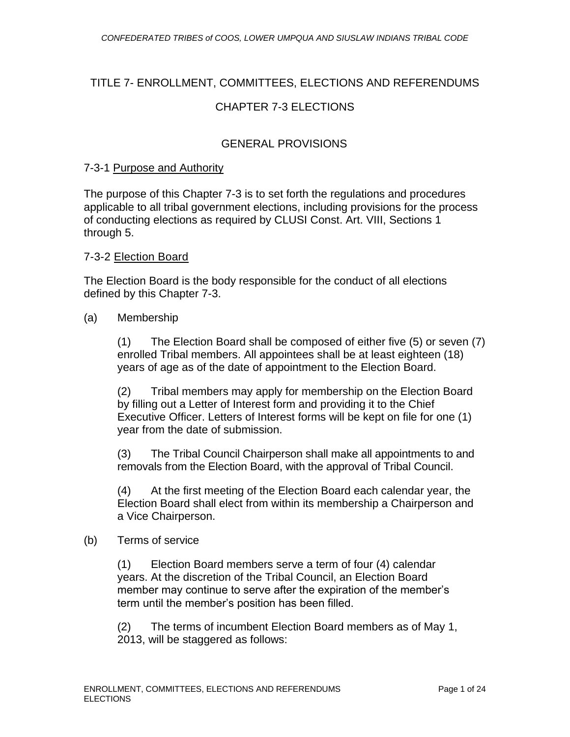# TITLE 7- ENROLLMENT, COMMITTEES, ELECTIONS AND REFERENDUMS CHAPTER 7-3 ELECTIONS

### GENERAL PROVISIONS

#### 7-3-1 Purpose and Authority

The purpose of this Chapter 7-3 is to set forth the regulations and procedures applicable to all tribal government elections, including provisions for the process of conducting elections as required by CLUSI Const. Art. VIII, Sections 1 through 5.

#### 7-3-2 Election Board

The Election Board is the body responsible for the conduct of all elections defined by this Chapter 7-3.

#### (a) Membership

(1) The Election Board shall be composed of either five (5) or seven (7) enrolled Tribal members. All appointees shall be at least eighteen (18) years of age as of the date of appointment to the Election Board.

(2) Tribal members may apply for membership on the Election Board by filling out a Letter of Interest form and providing it to the Chief Executive Officer. Letters of Interest forms will be kept on file for one (1) year from the date of submission.

(3) The Tribal Council Chairperson shall make all appointments to and removals from the Election Board, with the approval of Tribal Council.

(4) At the first meeting of the Election Board each calendar year, the Election Board shall elect from within its membership a Chairperson and a Vice Chairperson.

#### (b) Terms of service

(1) Election Board members serve a term of four (4) calendar years. At the discretion of the Tribal Council, an Election Board member may continue to serve after the expiration of the member's term until the member's position has been filled.

(2) The terms of incumbent Election Board members as of May 1, 2013, will be staggered as follows: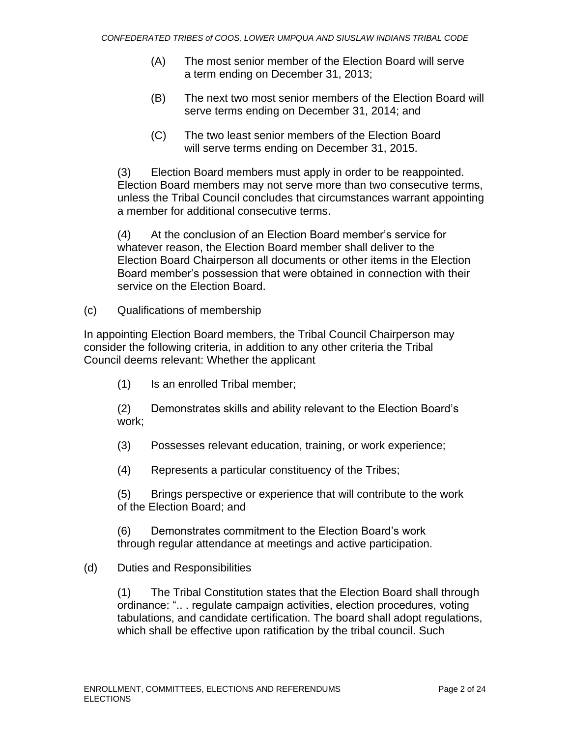- (A) The most senior member of the Election Board will serve a term ending on December 31, 2013;
- (B) The next two most senior members of the Election Board will serve terms ending on December 31, 2014; and
- (C) The two least senior members of the Election Board will serve terms ending on December 31, 2015.

(3) Election Board members must apply in order to be reappointed. Election Board members may not serve more than two consecutive terms, unless the Tribal Council concludes that circumstances warrant appointing a member for additional consecutive terms.

(4) At the conclusion of an Election Board member's service for whatever reason, the Election Board member shall deliver to the Election Board Chairperson all documents or other items in the Election Board member's possession that were obtained in connection with their service on the Election Board.

(c) Qualifications of membership

In appointing Election Board members, the Tribal Council Chairperson may consider the following criteria, in addition to any other criteria the Tribal Council deems relevant: Whether the applicant

(1) Is an enrolled Tribal member;

(2) Demonstrates skills and ability relevant to the Election Board's work;

(3) Possesses relevant education, training, or work experience;

(4) Represents a particular constituency of the Tribes;

(5) Brings perspective or experience that will contribute to the work of the Election Board; and

(6) Demonstrates commitment to the Election Board's work through regular attendance at meetings and active participation.

#### (d) Duties and Responsibilities

(1) The Tribal Constitution states that the Election Board shall through ordinance: ".. . regulate campaign activities, election procedures, voting tabulations, and candidate certification. The board shall adopt regulations, which shall be effective upon ratification by the tribal council. Such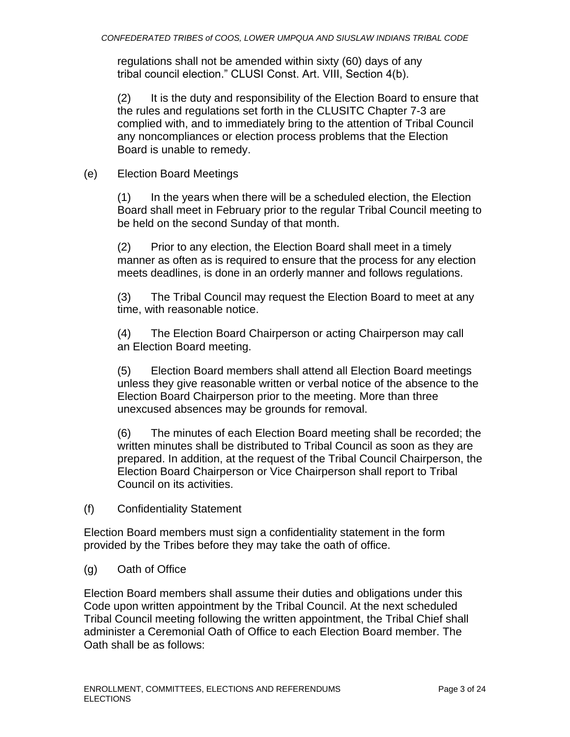regulations shall not be amended within sixty (60) days of any tribal council election." CLUSI Const. Art. VIII, Section 4(b).

(2) It is the duty and responsibility of the Election Board to ensure that the rules and regulations set forth in the CLUSITC Chapter 7-3 are complied with, and to immediately bring to the attention of Tribal Council any noncompliances or election process problems that the Election Board is unable to remedy.

(e) Election Board Meetings

(1) In the years when there will be a scheduled election, the Election Board shall meet in February prior to the regular Tribal Council meeting to be held on the second Sunday of that month.

(2) Prior to any election, the Election Board shall meet in a timely manner as often as is required to ensure that the process for any election meets deadlines, is done in an orderly manner and follows regulations.

(3) The Tribal Council may request the Election Board to meet at any time, with reasonable notice.

(4) The Election Board Chairperson or acting Chairperson may call an Election Board meeting.

(5) Election Board members shall attend all Election Board meetings unless they give reasonable written or verbal notice of the absence to the Election Board Chairperson prior to the meeting. More than three unexcused absences may be grounds for removal.

(6) The minutes of each Election Board meeting shall be recorded; the written minutes shall be distributed to Tribal Council as soon as they are prepared. In addition, at the request of the Tribal Council Chairperson, the Election Board Chairperson or Vice Chairperson shall report to Tribal Council on its activities.

(f) Confidentiality Statement

Election Board members must sign a confidentiality statement in the form provided by the Tribes before they may take the oath of office.

(g) Oath of Office

Election Board members shall assume their duties and obligations under this Code upon written appointment by the Tribal Council. At the next scheduled Tribal Council meeting following the written appointment, the Tribal Chief shall administer a Ceremonial Oath of Office to each Election Board member. The Oath shall be as follows: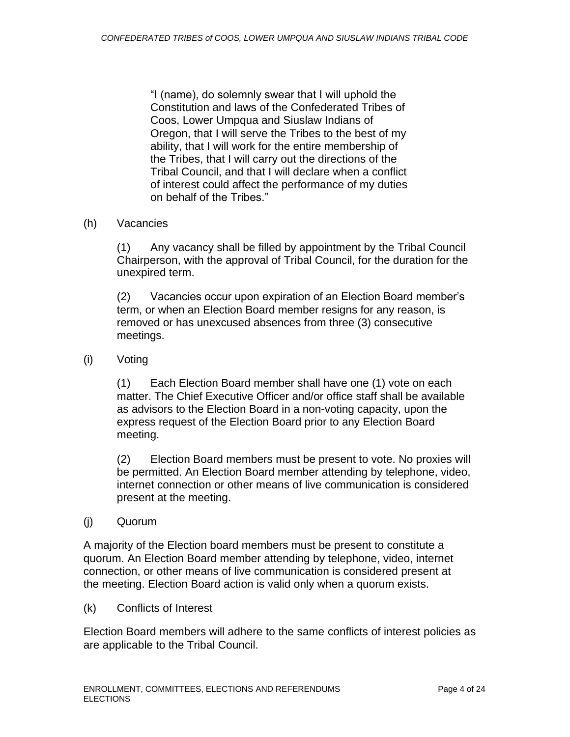"I (name), do solemnly swear that I will uphold the Constitution and laws of the Confederated Tribes of Coos, Lower Umpqua and Siuslaw Indians of Oregon, that I will serve the Tribes to the best of my ability, that I will work for the entire membership of the Tribes, that I will carry out the directions of the Tribal Council, and that I will declare when a conflict of interest could affect the performance of my duties on behalf of the Tribes."

#### (h) Vacancies

(1) Any vacancy shall be filled by appointment by the Tribal Council Chairperson, with the approval of Tribal Council, for the duration for the unexpired term.

(2) Vacancies occur upon expiration of an Election Board member's term, or when an Election Board member resigns for any reason, is removed or has unexcused absences from three (3) consecutive meetings.

(i) Voting

(1) Each Election Board member shall have one (1) vote on each matter. The Chief Executive Officer and/or office staff shall be available as advisors to the Election Board in a non-voting capacity, upon the express request of the Election Board prior to any Election Board meeting.

(2) Election Board members must be present to vote. No proxies will be permitted. An Election Board member attending by telephone, video, internet connection or other means of live communication is considered present at the meeting.

(j) Quorum

A majority of the Election board members must be present to constitute a quorum. An Election Board member attending by telephone, video, internet connection, or other means of live communication is considered present at the meeting. Election Board action is valid only when a quorum exists.

(k) Conflicts of Interest

Election Board members will adhere to the same conflicts of interest policies as are applicable to the Tribal Council.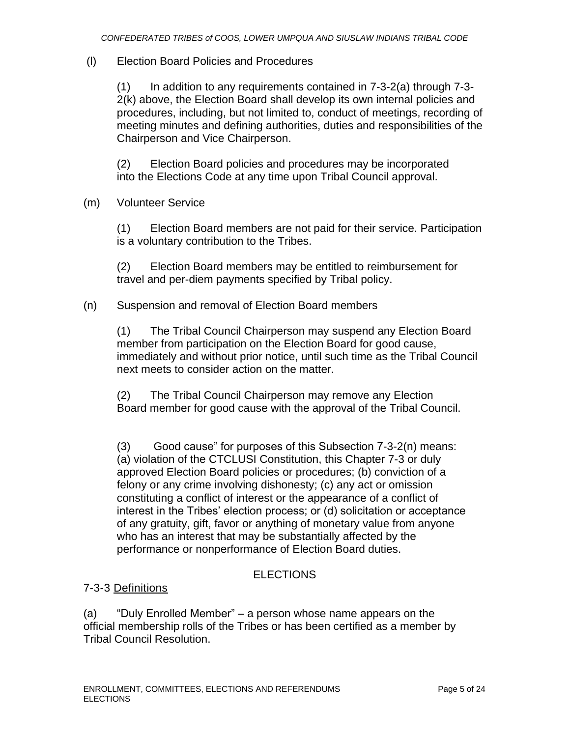### (l) Election Board Policies and Procedures

(1) In addition to any requirements contained in 7-3-2(a) through 7-3- 2(k) above, the Election Board shall develop its own internal policies and procedures, including, but not limited to, conduct of meetings, recording of meeting minutes and defining authorities, duties and responsibilities of the Chairperson and Vice Chairperson.

(2) Election Board policies and procedures may be incorporated into the Elections Code at any time upon Tribal Council approval.

(m) Volunteer Service

(1) Election Board members are not paid for their service. Participation is a voluntary contribution to the Tribes.

(2) Election Board members may be entitled to reimbursement for travel and per-diem payments specified by Tribal policy.

#### (n) Suspension and removal of Election Board members

(1) The Tribal Council Chairperson may suspend any Election Board member from participation on the Election Board for good cause, immediately and without prior notice, until such time as the Tribal Council next meets to consider action on the matter.

(2) The Tribal Council Chairperson may remove any Election Board member for good cause with the approval of the Tribal Council.

(3) Good cause" for purposes of this Subsection 7-3-2(n) means: (a) violation of the CTCLUSI Constitution, this Chapter 7-3 or duly approved Election Board policies or procedures; (b) conviction of a felony or any crime involving dishonesty; (c) any act or omission constituting a conflict of interest or the appearance of a conflict of interest in the Tribes' election process; or (d) solicitation or acceptance of any gratuity, gift, favor or anything of monetary value from anyone who has an interest that may be substantially affected by the performance or nonperformance of Election Board duties.

### ELECTIONS

### 7-3-3 Definitions

(a) "Duly Enrolled Member" – a person whose name appears on the official membership rolls of the Tribes or has been certified as a member by Tribal Council Resolution.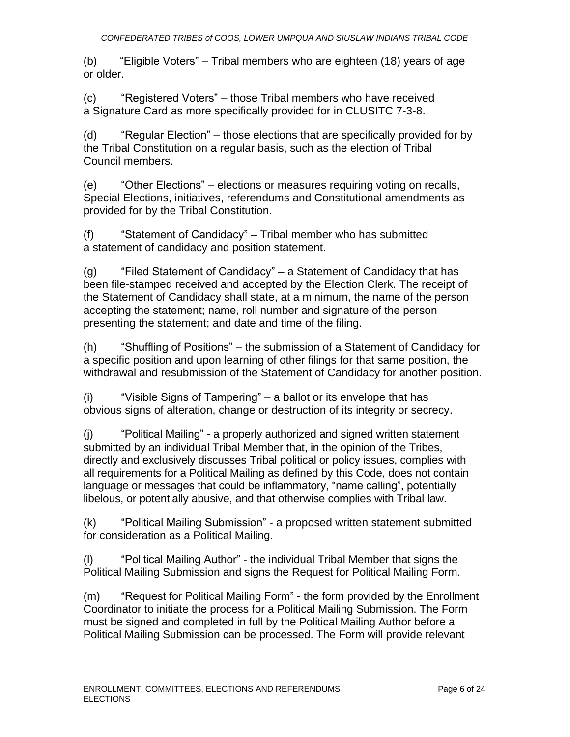(b) "Eligible Voters" – Tribal members who are eighteen (18) years of age or older.

(c) "Registered Voters" – those Tribal members who have received a Signature Card as more specifically provided for in CLUSITC 7-3-8.

(d) "Regular Election" – those elections that are specifically provided for by the Tribal Constitution on a regular basis, such as the election of Tribal Council members.

(e) "Other Elections" – elections or measures requiring voting on recalls, Special Elections, initiatives, referendums and Constitutional amendments as provided for by the Tribal Constitution.

(f) "Statement of Candidacy" – Tribal member who has submitted a statement of candidacy and position statement.

(g) "Filed Statement of Candidacy" – a Statement of Candidacy that has been file-stamped received and accepted by the Election Clerk. The receipt of the Statement of Candidacy shall state, at a minimum, the name of the person accepting the statement; name, roll number and signature of the person presenting the statement; and date and time of the filing.

(h) "Shuffling of Positions" – the submission of a Statement of Candidacy for a specific position and upon learning of other filings for that same position, the withdrawal and resubmission of the Statement of Candidacy for another position.

(i) "Visible Signs of Tampering" – a ballot or its envelope that has obvious signs of alteration, change or destruction of its integrity or secrecy.

(j) "Political Mailing" - a properly authorized and signed written statement submitted by an individual Tribal Member that, in the opinion of the Tribes, directly and exclusively discusses Tribal political or policy issues, complies with all requirements for a Political Mailing as defined by this Code, does not contain language or messages that could be inflammatory, "name calling", potentially libelous, or potentially abusive, and that otherwise complies with Tribal law.

(k) "Political Mailing Submission" - a proposed written statement submitted for consideration as a Political Mailing.

(l) "Political Mailing Author" - the individual Tribal Member that signs the Political Mailing Submission and signs the Request for Political Mailing Form.

(m) "Request for Political Mailing Form" - the form provided by the Enrollment Coordinator to initiate the process for a Political Mailing Submission. The Form must be signed and completed in full by the Political Mailing Author before a Political Mailing Submission can be processed. The Form will provide relevant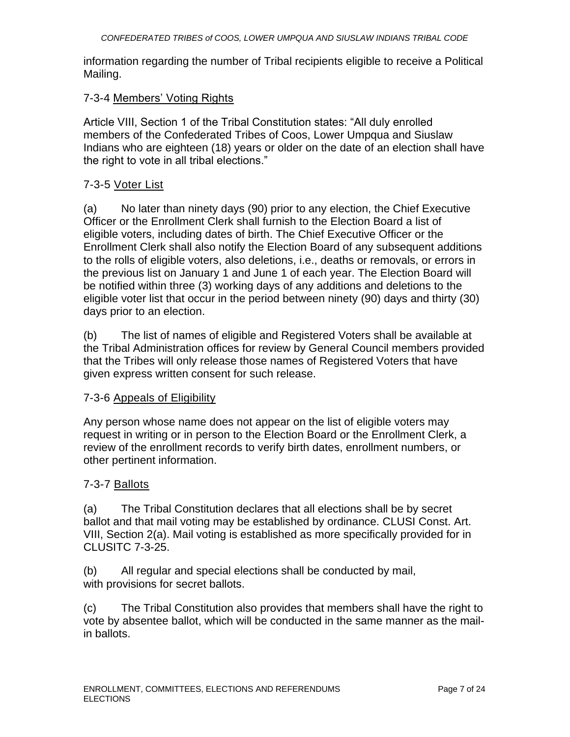information regarding the number of Tribal recipients eligible to receive a Political Mailing.

#### 7-3-4 Members' Voting Rights

Article VIII, Section 1 of the Tribal Constitution states: "All duly enrolled members of the Confederated Tribes of Coos, Lower Umpqua and Siuslaw Indians who are eighteen (18) years or older on the date of an election shall have the right to vote in all tribal elections."

### 7-3-5 Voter List

(a) No later than ninety days (90) prior to any election, the Chief Executive Officer or the Enrollment Clerk shall furnish to the Election Board a list of eligible voters, including dates of birth. The Chief Executive Officer or the Enrollment Clerk shall also notify the Election Board of any subsequent additions to the rolls of eligible voters, also deletions, i.e., deaths or removals, or errors in the previous list on January 1 and June 1 of each year. The Election Board will be notified within three (3) working days of any additions and deletions to the eligible voter list that occur in the period between ninety (90) days and thirty (30) days prior to an election.

(b) The list of names of eligible and Registered Voters shall be available at the Tribal Administration offices for review by General Council members provided that the Tribes will only release those names of Registered Voters that have given express written consent for such release.

#### 7-3-6 Appeals of Eligibility

Any person whose name does not appear on the list of eligible voters may request in writing or in person to the Election Board or the Enrollment Clerk, a review of the enrollment records to verify birth dates, enrollment numbers, or other pertinent information.

#### 7-3-7 Ballots

(a) The Tribal Constitution declares that all elections shall be by secret ballot and that mail voting may be established by ordinance. CLUSI Const. Art. VIII, Section 2(a). Mail voting is established as more specifically provided for in CLUSITC 7-3-25.

(b) All regular and special elections shall be conducted by mail, with provisions for secret ballots.

(c) The Tribal Constitution also provides that members shall have the right to vote by absentee ballot, which will be conducted in the same manner as the mailin ballots.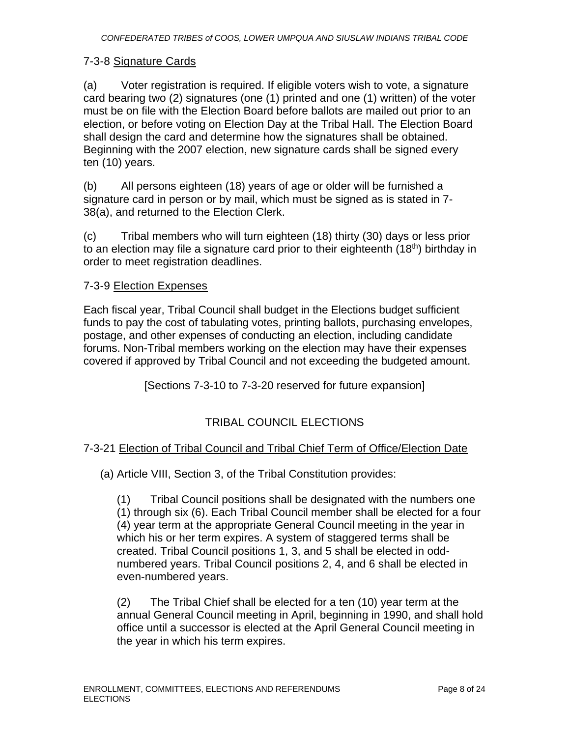#### 7-3-8 Signature Cards

(a) Voter registration is required. If eligible voters wish to vote, a signature card bearing two (2) signatures (one (1) printed and one (1) written) of the voter must be on file with the Election Board before ballots are mailed out prior to an election, or before voting on Election Day at the Tribal Hall. The Election Board shall design the card and determine how the signatures shall be obtained. Beginning with the 2007 election, new signature cards shall be signed every ten (10) years.

(b) All persons eighteen (18) years of age or older will be furnished a signature card in person or by mail, which must be signed as is stated in 7- 38(a), and returned to the Election Clerk.

(c) Tribal members who will turn eighteen (18) thirty (30) days or less prior to an election may file a signature card prior to their eighteenth (18th) birthday in order to meet registration deadlines.

#### 7-3-9 Election Expenses

Each fiscal year, Tribal Council shall budget in the Elections budget sufficient funds to pay the cost of tabulating votes, printing ballots, purchasing envelopes, postage, and other expenses of conducting an election, including candidate forums. Non-Tribal members working on the election may have their expenses covered if approved by Tribal Council and not exceeding the budgeted amount.

[Sections 7-3-10 to 7-3-20 reserved for future expansion]

# TRIBAL COUNCIL ELECTIONS

#### 7-3-21 Election of Tribal Council and Tribal Chief Term of Office/Election Date

(a) Article VIII, Section 3, of the Tribal Constitution provides:

(1) Tribal Council positions shall be designated with the numbers one (1) through six (6). Each Tribal Council member shall be elected for a four (4) year term at the appropriate General Council meeting in the year in which his or her term expires. A system of staggered terms shall be created. Tribal Council positions 1, 3, and 5 shall be elected in oddnumbered years. Tribal Council positions 2, 4, and 6 shall be elected in even-numbered years.

(2) The Tribal Chief shall be elected for a ten (10) year term at the annual General Council meeting in April, beginning in 1990, and shall hold office until a successor is elected at the April General Council meeting in the year in which his term expires.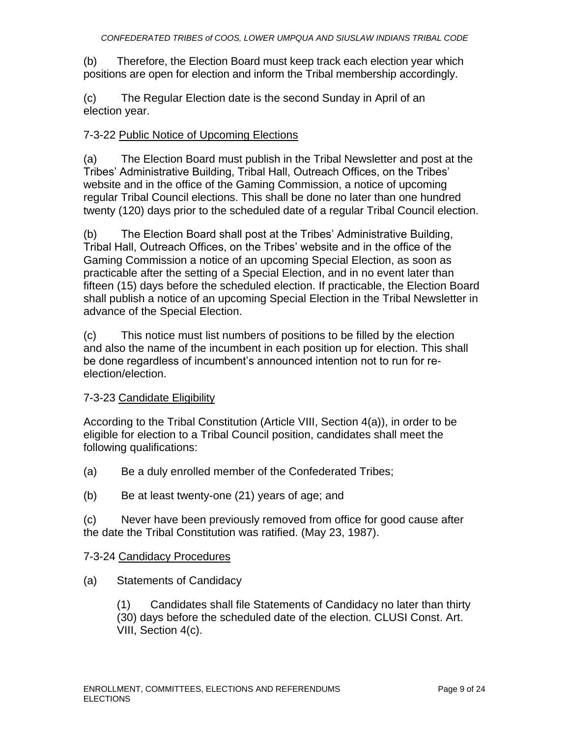(b) Therefore, the Election Board must keep track each election year which positions are open for election and inform the Tribal membership accordingly.

(c) The Regular Election date is the second Sunday in April of an election year.

### 7-3-22 Public Notice of Upcoming Elections

(a) The Election Board must publish in the Tribal Newsletter and post at the Tribes' Administrative Building, Tribal Hall, Outreach Offices, on the Tribes' website and in the office of the Gaming Commission, a notice of upcoming regular Tribal Council elections. This shall be done no later than one hundred twenty (120) days prior to the scheduled date of a regular Tribal Council election.

(b) The Election Board shall post at the Tribes' Administrative Building, Tribal Hall, Outreach Offices, on the Tribes' website and in the office of the Gaming Commission a notice of an upcoming Special Election, as soon as practicable after the setting of a Special Election, and in no event later than fifteen (15) days before the scheduled election. If practicable, the Election Board shall publish a notice of an upcoming Special Election in the Tribal Newsletter in advance of the Special Election.

(c) This notice must list numbers of positions to be filled by the election and also the name of the incumbent in each position up for election. This shall be done regardless of incumbent's announced intention not to run for reelection/election.

### 7-3-23 Candidate Eligibility

According to the Tribal Constitution (Article VIII, Section 4(a)), in order to be eligible for election to a Tribal Council position, candidates shall meet the following qualifications:

- (a) Be a duly enrolled member of the Confederated Tribes;
- (b) Be at least twenty-one (21) years of age; and

(c) Never have been previously removed from office for good cause after the date the Tribal Constitution was ratified. (May 23, 1987).

#### 7-3-24 Candidacy Procedures

(a) Statements of Candidacy

(1) Candidates shall file Statements of Candidacy no later than thirty (30) days before the scheduled date of the election. CLUSI Const. Art. VIII, Section 4(c).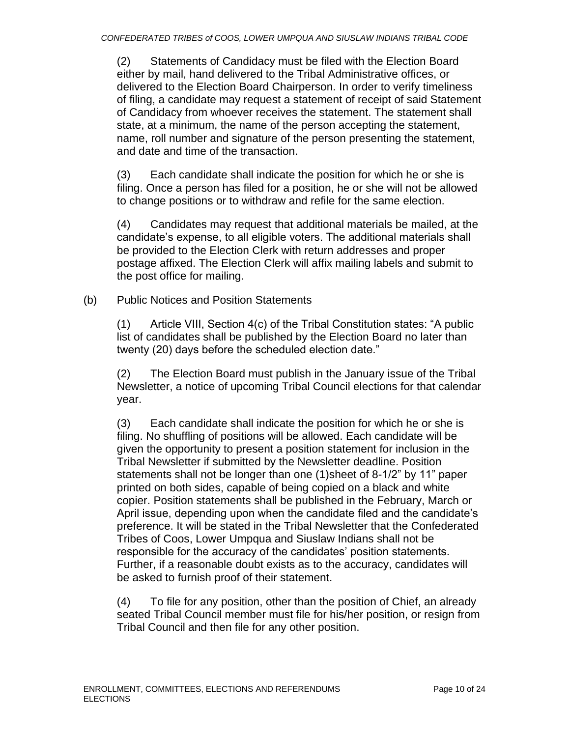(2) Statements of Candidacy must be filed with the Election Board either by mail, hand delivered to the Tribal Administrative offices, or delivered to the Election Board Chairperson. In order to verify timeliness of filing, a candidate may request a statement of receipt of said Statement of Candidacy from whoever receives the statement. The statement shall state, at a minimum, the name of the person accepting the statement, name, roll number and signature of the person presenting the statement, and date and time of the transaction.

(3) Each candidate shall indicate the position for which he or she is filing. Once a person has filed for a position, he or she will not be allowed to change positions or to withdraw and refile for the same election.

(4) Candidates may request that additional materials be mailed, at the candidate's expense, to all eligible voters. The additional materials shall be provided to the Election Clerk with return addresses and proper postage affixed. The Election Clerk will affix mailing labels and submit to the post office for mailing.

(b) Public Notices and Position Statements

(1) Article VIII, Section 4(c) of the Tribal Constitution states: "A public list of candidates shall be published by the Election Board no later than twenty (20) days before the scheduled election date."

(2) The Election Board must publish in the January issue of the Tribal Newsletter, a notice of upcoming Tribal Council elections for that calendar year.

(3) Each candidate shall indicate the position for which he or she is filing. No shuffling of positions will be allowed. Each candidate will be given the opportunity to present a position statement for inclusion in the Tribal Newsletter if submitted by the Newsletter deadline. Position statements shall not be longer than one (1)sheet of 8-1/2" by 11" paper printed on both sides, capable of being copied on a black and white copier. Position statements shall be published in the February, March or April issue, depending upon when the candidate filed and the candidate's preference. It will be stated in the Tribal Newsletter that the Confederated Tribes of Coos, Lower Umpqua and Siuslaw Indians shall not be responsible for the accuracy of the candidates' position statements. Further, if a reasonable doubt exists as to the accuracy, candidates will be asked to furnish proof of their statement.

(4) To file for any position, other than the position of Chief, an already seated Tribal Council member must file for his/her position, or resign from Tribal Council and then file for any other position.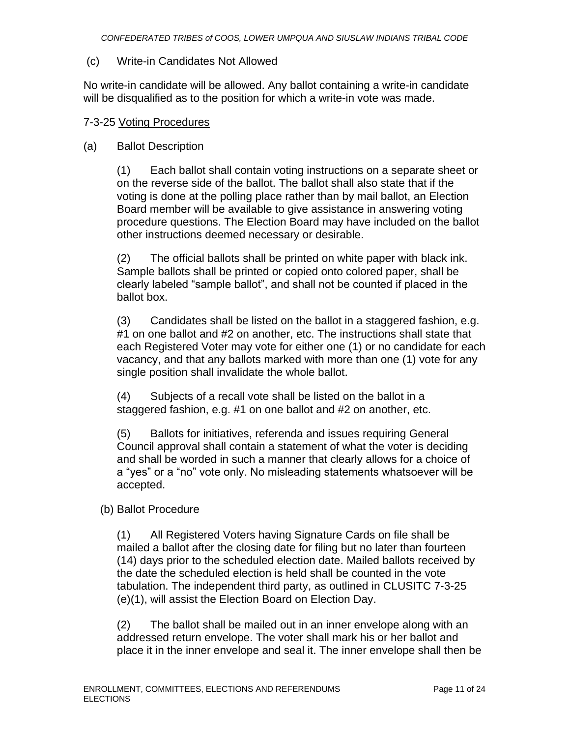#### (c) Write-in Candidates Not Allowed

No write-in candidate will be allowed. Any ballot containing a write-in candidate will be disqualified as to the position for which a write-in vote was made.

#### 7-3-25 Voting Procedures

#### (a) Ballot Description

(1) Each ballot shall contain voting instructions on a separate sheet or on the reverse side of the ballot. The ballot shall also state that if the voting is done at the polling place rather than by mail ballot, an Election Board member will be available to give assistance in answering voting procedure questions. The Election Board may have included on the ballot other instructions deemed necessary or desirable.

(2) The official ballots shall be printed on white paper with black ink. Sample ballots shall be printed or copied onto colored paper, shall be clearly labeled "sample ballot", and shall not be counted if placed in the ballot box.

(3) Candidates shall be listed on the ballot in a staggered fashion, e.g. #1 on one ballot and #2 on another, etc. The instructions shall state that each Registered Voter may vote for either one (1) or no candidate for each vacancy, and that any ballots marked with more than one (1) vote for any single position shall invalidate the whole ballot.

(4) Subjects of a recall vote shall be listed on the ballot in a staggered fashion, e.g. #1 on one ballot and #2 on another, etc.

(5) Ballots for initiatives, referenda and issues requiring General Council approval shall contain a statement of what the voter is deciding and shall be worded in such a manner that clearly allows for a choice of a "yes" or a "no" vote only. No misleading statements whatsoever will be accepted.

(b) Ballot Procedure

(1) All Registered Voters having Signature Cards on file shall be mailed a ballot after the closing date for filing but no later than fourteen (14) days prior to the scheduled election date. Mailed ballots received by the date the scheduled election is held shall be counted in the vote tabulation. The independent third party, as outlined in CLUSITC 7-3-25 (e)(1), will assist the Election Board on Election Day.

(2) The ballot shall be mailed out in an inner envelope along with an addressed return envelope. The voter shall mark his or her ballot and place it in the inner envelope and seal it. The inner envelope shall then be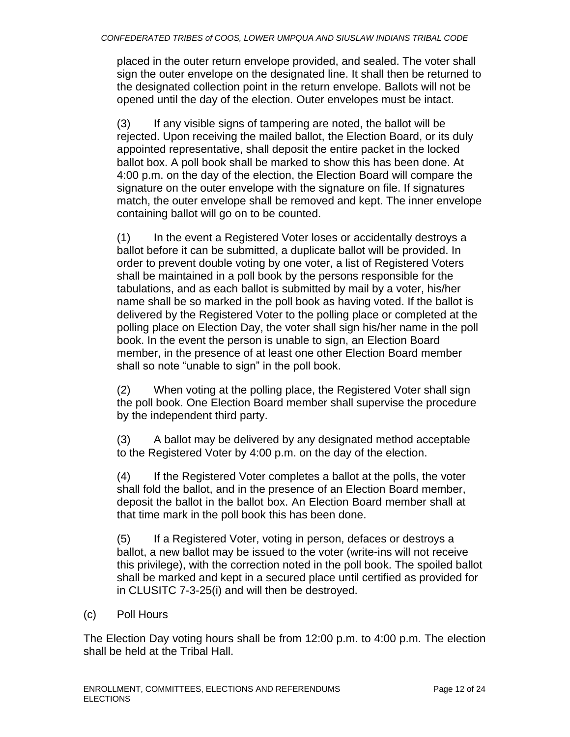placed in the outer return envelope provided, and sealed. The voter shall sign the outer envelope on the designated line. It shall then be returned to the designated collection point in the return envelope. Ballots will not be opened until the day of the election. Outer envelopes must be intact.

(3) If any visible signs of tampering are noted, the ballot will be rejected. Upon receiving the mailed ballot, the Election Board, or its duly appointed representative, shall deposit the entire packet in the locked ballot box. A poll book shall be marked to show this has been done. At 4:00 p.m. on the day of the election, the Election Board will compare the signature on the outer envelope with the signature on file. If signatures match, the outer envelope shall be removed and kept. The inner envelope containing ballot will go on to be counted.

(1) In the event a Registered Voter loses or accidentally destroys a ballot before it can be submitted, a duplicate ballot will be provided. In order to prevent double voting by one voter, a list of Registered Voters shall be maintained in a poll book by the persons responsible for the tabulations, and as each ballot is submitted by mail by a voter, his/her name shall be so marked in the poll book as having voted. If the ballot is delivered by the Registered Voter to the polling place or completed at the polling place on Election Day, the voter shall sign his/her name in the poll book. In the event the person is unable to sign, an Election Board member, in the presence of at least one other Election Board member shall so note "unable to sign" in the poll book.

(2) When voting at the polling place, the Registered Voter shall sign the poll book. One Election Board member shall supervise the procedure by the independent third party.

(3) A ballot may be delivered by any designated method acceptable to the Registered Voter by 4:00 p.m. on the day of the election.

(4) If the Registered Voter completes a ballot at the polls, the voter shall fold the ballot, and in the presence of an Election Board member, deposit the ballot in the ballot box. An Election Board member shall at that time mark in the poll book this has been done.

(5) If a Registered Voter, voting in person, defaces or destroys a ballot, a new ballot may be issued to the voter (write-ins will not receive this privilege), with the correction noted in the poll book. The spoiled ballot shall be marked and kept in a secured place until certified as provided for in CLUSITC 7-3-25(i) and will then be destroyed.

#### (c) Poll Hours

The Election Day voting hours shall be from 12:00 p.m. to 4:00 p.m. The election shall be held at the Tribal Hall.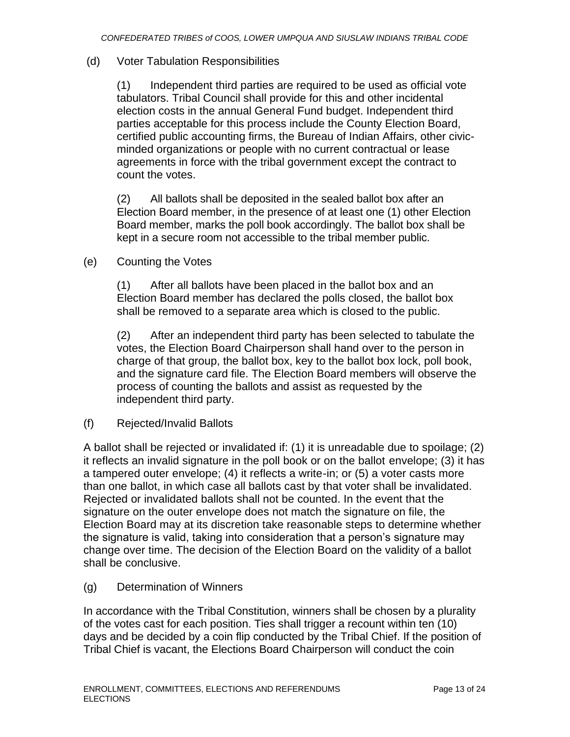#### (d) Voter Tabulation Responsibilities

(1) Independent third parties are required to be used as official vote tabulators. Tribal Council shall provide for this and other incidental election costs in the annual General Fund budget. Independent third parties acceptable for this process include the County Election Board, certified public accounting firms, the Bureau of Indian Affairs, other civicminded organizations or people with no current contractual or lease agreements in force with the tribal government except the contract to count the votes.

(2) All ballots shall be deposited in the sealed ballot box after an Election Board member, in the presence of at least one (1) other Election Board member, marks the poll book accordingly. The ballot box shall be kept in a secure room not accessible to the tribal member public.

(e) Counting the Votes

(1) After all ballots have been placed in the ballot box and an Election Board member has declared the polls closed, the ballot box shall be removed to a separate area which is closed to the public.

(2) After an independent third party has been selected to tabulate the votes, the Election Board Chairperson shall hand over to the person in charge of that group, the ballot box, key to the ballot box lock, poll book, and the signature card file. The Election Board members will observe the process of counting the ballots and assist as requested by the independent third party.

(f) Rejected/Invalid Ballots

A ballot shall be rejected or invalidated if: (1) it is unreadable due to spoilage; (2) it reflects an invalid signature in the poll book or on the ballot envelope; (3) it has a tampered outer envelope; (4) it reflects a write-in; or (5) a voter casts more than one ballot, in which case all ballots cast by that voter shall be invalidated. Rejected or invalidated ballots shall not be counted. In the event that the signature on the outer envelope does not match the signature on file, the Election Board may at its discretion take reasonable steps to determine whether the signature is valid, taking into consideration that a person's signature may change over time. The decision of the Election Board on the validity of a ballot shall be conclusive.

(g) Determination of Winners

In accordance with the Tribal Constitution, winners shall be chosen by a plurality of the votes cast for each position. Ties shall trigger a recount within ten (10) days and be decided by a coin flip conducted by the Tribal Chief. If the position of Tribal Chief is vacant, the Elections Board Chairperson will conduct the coin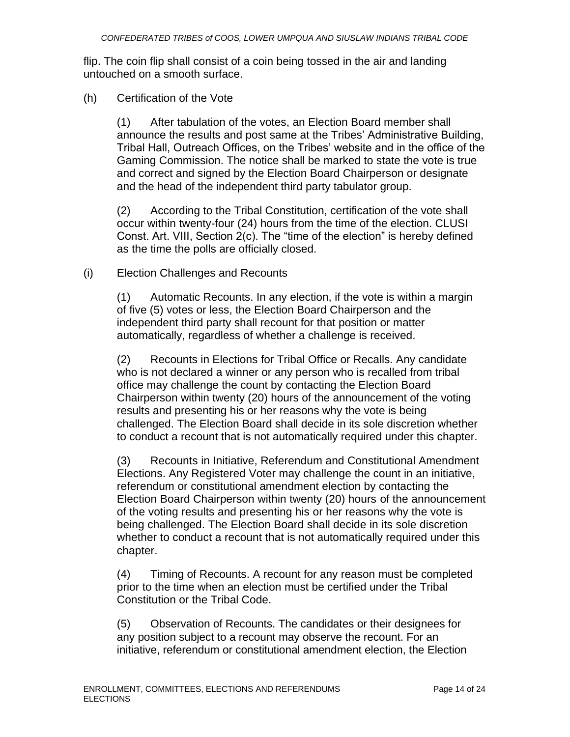flip. The coin flip shall consist of a coin being tossed in the air and landing untouched on a smooth surface.

#### (h) Certification of the Vote

(1) After tabulation of the votes, an Election Board member shall announce the results and post same at the Tribes' Administrative Building, Tribal Hall, Outreach Offices, on the Tribes' website and in the office of the Gaming Commission. The notice shall be marked to state the vote is true and correct and signed by the Election Board Chairperson or designate and the head of the independent third party tabulator group.

(2) According to the Tribal Constitution, certification of the vote shall occur within twenty-four (24) hours from the time of the election. CLUSI Const. Art. VIII, Section 2(c). The "time of the election" is hereby defined as the time the polls are officially closed.

#### (i) Election Challenges and Recounts

(1) Automatic Recounts. In any election, if the vote is within a margin of five (5) votes or less, the Election Board Chairperson and the independent third party shall recount for that position or matter automatically, regardless of whether a challenge is received.

(2) Recounts in Elections for Tribal Office or Recalls. Any candidate who is not declared a winner or any person who is recalled from tribal office may challenge the count by contacting the Election Board Chairperson within twenty (20) hours of the announcement of the voting results and presenting his or her reasons why the vote is being challenged. The Election Board shall decide in its sole discretion whether to conduct a recount that is not automatically required under this chapter.

(3) Recounts in Initiative, Referendum and Constitutional Amendment Elections. Any Registered Voter may challenge the count in an initiative, referendum or constitutional amendment election by contacting the Election Board Chairperson within twenty (20) hours of the announcement of the voting results and presenting his or her reasons why the vote is being challenged. The Election Board shall decide in its sole discretion whether to conduct a recount that is not automatically required under this chapter.

(4) Timing of Recounts. A recount for any reason must be completed prior to the time when an election must be certified under the Tribal Constitution or the Tribal Code.

(5) Observation of Recounts. The candidates or their designees for any position subject to a recount may observe the recount. For an initiative, referendum or constitutional amendment election, the Election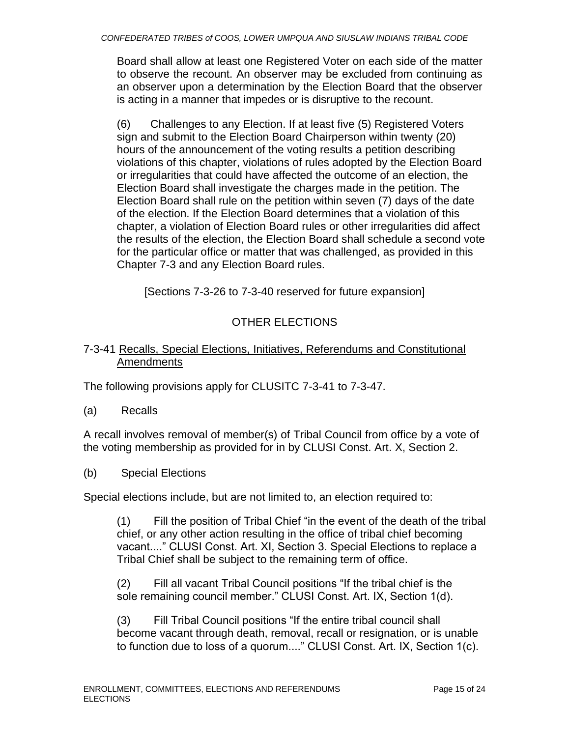Board shall allow at least one Registered Voter on each side of the matter to observe the recount. An observer may be excluded from continuing as an observer upon a determination by the Election Board that the observer is acting in a manner that impedes or is disruptive to the recount.

(6) Challenges to any Election. If at least five (5) Registered Voters sign and submit to the Election Board Chairperson within twenty (20) hours of the announcement of the voting results a petition describing violations of this chapter, violations of rules adopted by the Election Board or irregularities that could have affected the outcome of an election, the Election Board shall investigate the charges made in the petition. The Election Board shall rule on the petition within seven (7) days of the date of the election. If the Election Board determines that a violation of this chapter, a violation of Election Board rules or other irregularities did affect the results of the election, the Election Board shall schedule a second vote for the particular office or matter that was challenged, as provided in this Chapter 7-3 and any Election Board rules.

[Sections 7-3-26 to 7-3-40 reserved for future expansion]

# OTHER ELECTIONS

### 7-3-41 Recalls, Special Elections, Initiatives, Referendums and Constitutional Amendments

The following provisions apply for CLUSITC 7-3-41 to 7-3-47.

(a) Recalls

A recall involves removal of member(s) of Tribal Council from office by a vote of the voting membership as provided for in by CLUSI Const. Art. X, Section 2.

(b) Special Elections

Special elections include, but are not limited to, an election required to:

(1) Fill the position of Tribal Chief "in the event of the death of the tribal chief, or any other action resulting in the office of tribal chief becoming vacant...." CLUSI Const. Art. XI, Section 3. Special Elections to replace a Tribal Chief shall be subject to the remaining term of office.

(2) Fill all vacant Tribal Council positions "If the tribal chief is the sole remaining council member." CLUSI Const. Art. IX, Section 1(d).

(3) Fill Tribal Council positions "If the entire tribal council shall become vacant through death, removal, recall or resignation, or is unable to function due to loss of a quorum...." CLUSI Const. Art. IX, Section 1(c).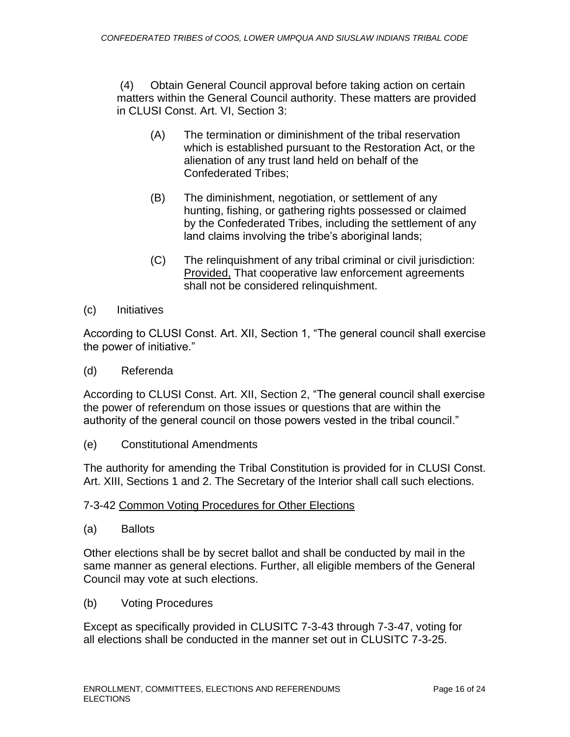(4) Obtain General Council approval before taking action on certain matters within the General Council authority. These matters are provided in CLUSI Const. Art. VI, Section 3:

- (A) The termination or diminishment of the tribal reservation which is established pursuant to the Restoration Act, or the alienation of any trust land held on behalf of the Confederated Tribes;
- (B) The diminishment, negotiation, or settlement of any hunting, fishing, or gathering rights possessed or claimed by the Confederated Tribes, including the settlement of any land claims involving the tribe's aboriginal lands;
- (C) The relinquishment of any tribal criminal or civil jurisdiction: Provided, That cooperative law enforcement agreements shall not be considered relinquishment.
- (c) Initiatives

According to CLUSI Const. Art. XII, Section 1, "The general council shall exercise the power of initiative."

(d) Referenda

According to CLUSI Const. Art. XII, Section 2, "The general council shall exercise the power of referendum on those issues or questions that are within the authority of the general council on those powers vested in the tribal council."

(e) Constitutional Amendments

The authority for amending the Tribal Constitution is provided for in CLUSI Const. Art. XIII, Sections 1 and 2. The Secretary of the Interior shall call such elections.

#### 7-3-42 Common Voting Procedures for Other Elections

(a) Ballots

Other elections shall be by secret ballot and shall be conducted by mail in the same manner as general elections. Further, all eligible members of the General Council may vote at such elections.

(b) Voting Procedures

Except as specifically provided in CLUSITC 7-3-43 through 7-3-47, voting for all elections shall be conducted in the manner set out in CLUSITC 7-3-25.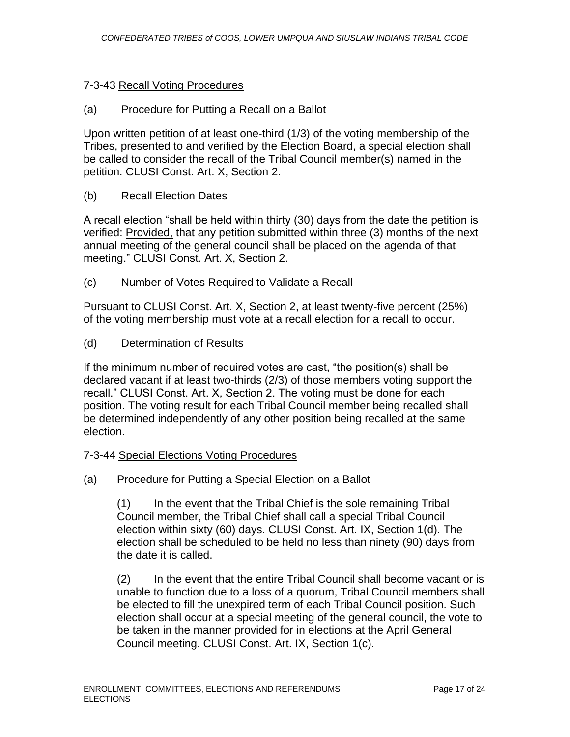#### 7-3-43 Recall Voting Procedures

#### (a) Procedure for Putting a Recall on a Ballot

Upon written petition of at least one-third (1/3) of the voting membership of the Tribes, presented to and verified by the Election Board, a special election shall be called to consider the recall of the Tribal Council member(s) named in the petition. CLUSI Const. Art. X, Section 2.

#### (b) Recall Election Dates

A recall election "shall be held within thirty (30) days from the date the petition is verified: Provided, that any petition submitted within three (3) months of the next annual meeting of the general council shall be placed on the agenda of that meeting." CLUSI Const. Art. X, Section 2.

(c) Number of Votes Required to Validate a Recall

Pursuant to CLUSI Const. Art. X, Section 2, at least twenty-five percent (25%) of the voting membership must vote at a recall election for a recall to occur.

(d) Determination of Results

If the minimum number of required votes are cast, "the position(s) shall be declared vacant if at least two-thirds (2/3) of those members voting support the recall." CLUSI Const. Art. X, Section 2. The voting must be done for each position. The voting result for each Tribal Council member being recalled shall be determined independently of any other position being recalled at the same election.

#### 7-3-44 Special Elections Voting Procedures

(a) Procedure for Putting a Special Election on a Ballot

(1) In the event that the Tribal Chief is the sole remaining Tribal Council member, the Tribal Chief shall call a special Tribal Council election within sixty (60) days. CLUSI Const. Art. IX, Section 1(d). The election shall be scheduled to be held no less than ninety (90) days from the date it is called.

(2) In the event that the entire Tribal Council shall become vacant or is unable to function due to a loss of a quorum, Tribal Council members shall be elected to fill the unexpired term of each Tribal Council position. Such election shall occur at a special meeting of the general council, the vote to be taken in the manner provided for in elections at the April General Council meeting. CLUSI Const. Art. IX, Section 1(c).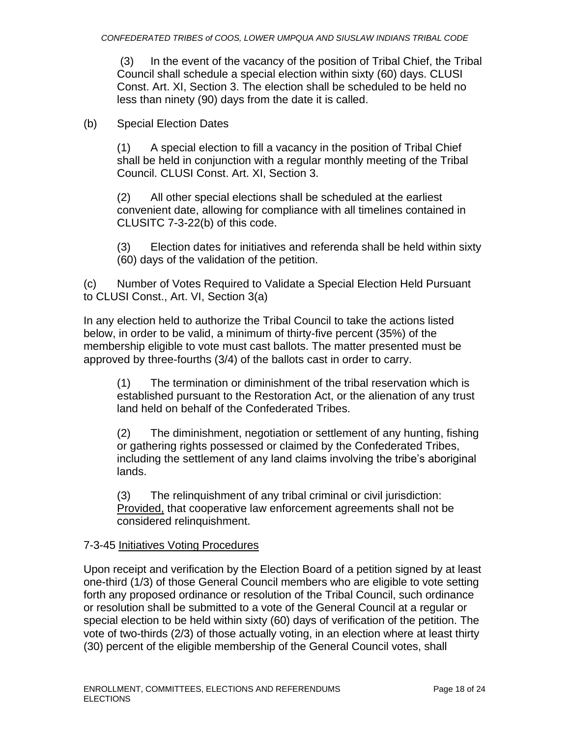(3) In the event of the vacancy of the position of Tribal Chief, the Tribal Council shall schedule a special election within sixty (60) days. CLUSI Const. Art. XI, Section 3. The election shall be scheduled to be held no less than ninety (90) days from the date it is called.

### (b) Special Election Dates

(1) A special election to fill a vacancy in the position of Tribal Chief shall be held in conjunction with a regular monthly meeting of the Tribal Council. CLUSI Const. Art. XI, Section 3.

(2) All other special elections shall be scheduled at the earliest convenient date, allowing for compliance with all timelines contained in CLUSITC 7-3-22(b) of this code.

(3) Election dates for initiatives and referenda shall be held within sixty (60) days of the validation of the petition.

(c) Number of Votes Required to Validate a Special Election Held Pursuant to CLUSI Const., Art. VI, Section 3(a)

In any election held to authorize the Tribal Council to take the actions listed below, in order to be valid, a minimum of thirty-five percent (35%) of the membership eligible to vote must cast ballots. The matter presented must be approved by three-fourths (3/4) of the ballots cast in order to carry.

(1) The termination or diminishment of the tribal reservation which is established pursuant to the Restoration Act, or the alienation of any trust land held on behalf of the Confederated Tribes.

(2) The diminishment, negotiation or settlement of any hunting, fishing or gathering rights possessed or claimed by the Confederated Tribes, including the settlement of any land claims involving the tribe's aboriginal lands.

(3) The relinquishment of any tribal criminal or civil jurisdiction: Provided, that cooperative law enforcement agreements shall not be considered relinquishment.

#### 7-3-45 Initiatives Voting Procedures

Upon receipt and verification by the Election Board of a petition signed by at least one-third (1/3) of those General Council members who are eligible to vote setting forth any proposed ordinance or resolution of the Tribal Council, such ordinance or resolution shall be submitted to a vote of the General Council at a regular or special election to be held within sixty (60) days of verification of the petition. The vote of two-thirds (2/3) of those actually voting, in an election where at least thirty (30) percent of the eligible membership of the General Council votes, shall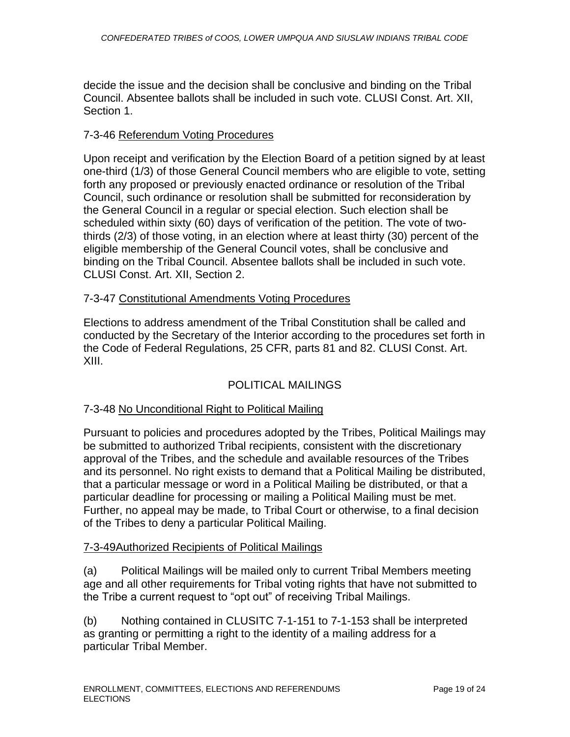decide the issue and the decision shall be conclusive and binding on the Tribal Council. Absentee ballots shall be included in such vote. CLUSI Const. Art. XII, Section 1.

#### 7-3-46 Referendum Voting Procedures

Upon receipt and verification by the Election Board of a petition signed by at least one-third (1/3) of those General Council members who are eligible to vote, setting forth any proposed or previously enacted ordinance or resolution of the Tribal Council, such ordinance or resolution shall be submitted for reconsideration by the General Council in a regular or special election. Such election shall be scheduled within sixty (60) days of verification of the petition. The vote of twothirds (2/3) of those voting, in an election where at least thirty (30) percent of the eligible membership of the General Council votes, shall be conclusive and binding on the Tribal Council. Absentee ballots shall be included in such vote. CLUSI Const. Art. XII, Section 2.

#### 7-3-47 Constitutional Amendments Voting Procedures

Elections to address amendment of the Tribal Constitution shall be called and conducted by the Secretary of the Interior according to the procedures set forth in the Code of Federal Regulations, 25 CFR, parts 81 and 82. CLUSI Const. Art. XIII.

#### POLITICAL MAILINGS

#### 7-3-48 No Unconditional Right to Political Mailing

Pursuant to policies and procedures adopted by the Tribes, Political Mailings may be submitted to authorized Tribal recipients, consistent with the discretionary approval of the Tribes, and the schedule and available resources of the Tribes and its personnel. No right exists to demand that a Political Mailing be distributed, that a particular message or word in a Political Mailing be distributed, or that a particular deadline for processing or mailing a Political Mailing must be met. Further, no appeal may be made, to Tribal Court or otherwise, to a final decision of the Tribes to deny a particular Political Mailing.

#### 7-3-49Authorized Recipients of Political Mailings

(a) Political Mailings will be mailed only to current Tribal Members meeting age and all other requirements for Tribal voting rights that have not submitted to the Tribe a current request to "opt out" of receiving Tribal Mailings.

(b) Nothing contained in CLUSITC 7-1-151 to 7-1-153 shall be interpreted as granting or permitting a right to the identity of a mailing address for a particular Tribal Member.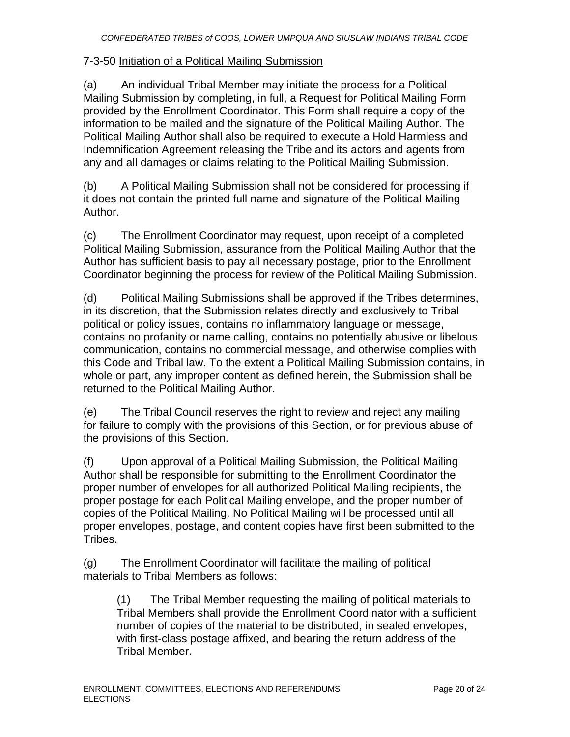#### 7-3-50 Initiation of a Political Mailing Submission

(a) An individual Tribal Member may initiate the process for a Political Mailing Submission by completing, in full, a Request for Political Mailing Form provided by the Enrollment Coordinator. This Form shall require a copy of the information to be mailed and the signature of the Political Mailing Author. The Political Mailing Author shall also be required to execute a Hold Harmless and Indemnification Agreement releasing the Tribe and its actors and agents from any and all damages or claims relating to the Political Mailing Submission.

(b) A Political Mailing Submission shall not be considered for processing if it does not contain the printed full name and signature of the Political Mailing Author.

(c) The Enrollment Coordinator may request, upon receipt of a completed Political Mailing Submission, assurance from the Political Mailing Author that the Author has sufficient basis to pay all necessary postage, prior to the Enrollment Coordinator beginning the process for review of the Political Mailing Submission.

(d) Political Mailing Submissions shall be approved if the Tribes determines, in its discretion, that the Submission relates directly and exclusively to Tribal political or policy issues, contains no inflammatory language or message, contains no profanity or name calling, contains no potentially abusive or libelous communication, contains no commercial message, and otherwise complies with this Code and Tribal law. To the extent a Political Mailing Submission contains, in whole or part, any improper content as defined herein, the Submission shall be returned to the Political Mailing Author.

(e) The Tribal Council reserves the right to review and reject any mailing for failure to comply with the provisions of this Section, or for previous abuse of the provisions of this Section.

(f) Upon approval of a Political Mailing Submission, the Political Mailing Author shall be responsible for submitting to the Enrollment Coordinator the proper number of envelopes for all authorized Political Mailing recipients, the proper postage for each Political Mailing envelope, and the proper number of copies of the Political Mailing. No Political Mailing will be processed until all proper envelopes, postage, and content copies have first been submitted to the Tribes.

(g) The Enrollment Coordinator will facilitate the mailing of political materials to Tribal Members as follows:

(1) The Tribal Member requesting the mailing of political materials to Tribal Members shall provide the Enrollment Coordinator with a sufficient number of copies of the material to be distributed, in sealed envelopes, with first-class postage affixed, and bearing the return address of the Tribal Member.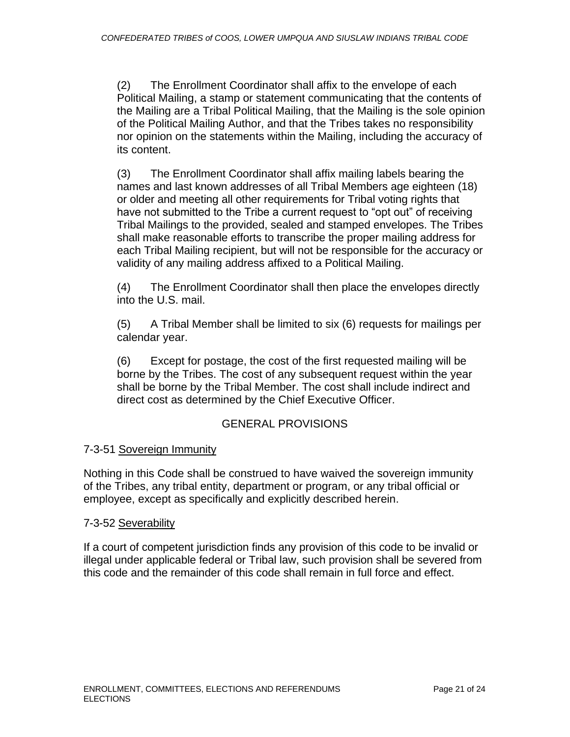(2) The Enrollment Coordinator shall affix to the envelope of each Political Mailing, a stamp or statement communicating that the contents of the Mailing are a Tribal Political Mailing, that the Mailing is the sole opinion of the Political Mailing Author, and that the Tribes takes no responsibility nor opinion on the statements within the Mailing, including the accuracy of its content.

(3) The Enrollment Coordinator shall affix mailing labels bearing the names and last known addresses of all Tribal Members age eighteen (18) or older and meeting all other requirements for Tribal voting rights that have not submitted to the Tribe a current request to "opt out" of receiving Tribal Mailings to the provided, sealed and stamped envelopes. The Tribes shall make reasonable efforts to transcribe the proper mailing address for each Tribal Mailing recipient, but will not be responsible for the accuracy or validity of any mailing address affixed to a Political Mailing.

(4) The Enrollment Coordinator shall then place the envelopes directly into the U.S. mail.

(5) A Tribal Member shall be limited to six (6) requests for mailings per calendar year.

(6) Except for postage, the cost of the first requested mailing will be borne by the Tribes. The cost of any subsequent request within the year shall be borne by the Tribal Member. The cost shall include indirect and direct cost as determined by the Chief Executive Officer.

### GENERAL PROVISIONS

#### 7-3-51 Sovereign Immunity

Nothing in this Code shall be construed to have waived the sovereign immunity of the Tribes, any tribal entity, department or program, or any tribal official or employee, except as specifically and explicitly described herein.

#### 7-3-52 Severability

If a court of competent jurisdiction finds any provision of this code to be invalid or illegal under applicable federal or Tribal law, such provision shall be severed from this code and the remainder of this code shall remain in full force and effect.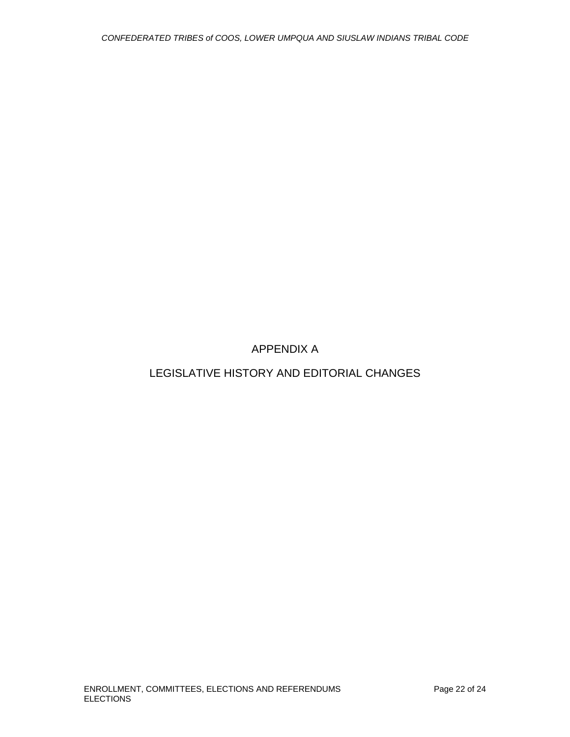APPENDIX A

LEGISLATIVE HISTORY AND EDITORIAL CHANGES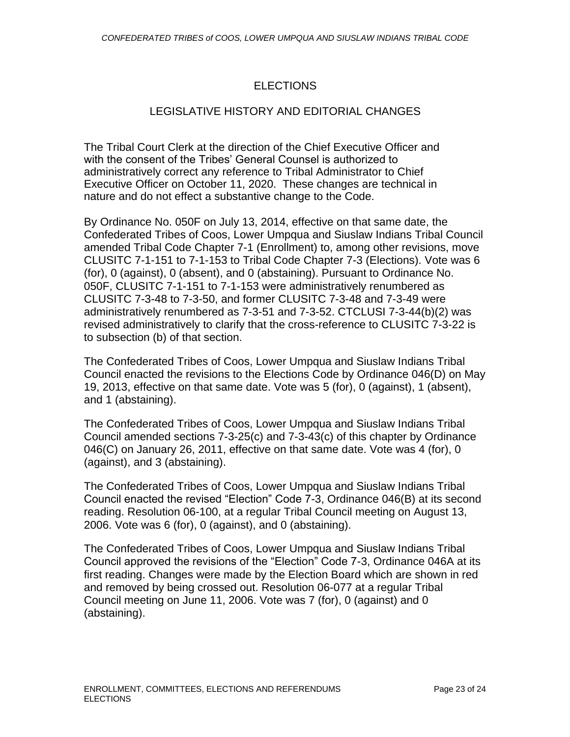## ELECTIONS

### LEGISLATIVE HISTORY AND EDITORIAL CHANGES

The Tribal Court Clerk at the direction of the Chief Executive Officer and with the consent of the Tribes' General Counsel is authorized to administratively correct any reference to Tribal Administrator to Chief Executive Officer on October 11, 2020. These changes are technical in nature and do not effect a substantive change to the Code.

By Ordinance No. 050F on July 13, 2014, effective on that same date, the Confederated Tribes of Coos, Lower Umpqua and Siuslaw Indians Tribal Council amended Tribal Code Chapter 7-1 (Enrollment) to, among other revisions, move CLUSITC 7-1-151 to 7-1-153 to Tribal Code Chapter 7-3 (Elections). Vote was 6 (for), 0 (against), 0 (absent), and 0 (abstaining). Pursuant to Ordinance No. 050F, CLUSITC 7-1-151 to 7-1-153 were administratively renumbered as CLUSITC 7-3-48 to 7-3-50, and former CLUSITC 7-3-48 and 7-3-49 were administratively renumbered as 7-3-51 and 7-3-52. CTCLUSI 7-3-44(b)(2) was revised administratively to clarify that the cross-reference to CLUSITC 7-3-22 is to subsection (b) of that section.

The Confederated Tribes of Coos, Lower Umpqua and Siuslaw Indians Tribal Council enacted the revisions to the Elections Code by Ordinance 046(D) on May 19, 2013, effective on that same date. Vote was 5 (for), 0 (against), 1 (absent), and 1 (abstaining).

The Confederated Tribes of Coos, Lower Umpqua and Siuslaw Indians Tribal Council amended sections 7-3-25(c) and 7-3-43(c) of this chapter by Ordinance 046(C) on January 26, 2011, effective on that same date. Vote was 4 (for), 0 (against), and 3 (abstaining).

The Confederated Tribes of Coos, Lower Umpqua and Siuslaw Indians Tribal Council enacted the revised "Election" Code 7-3, Ordinance 046(B) at its second reading. Resolution 06-100, at a regular Tribal Council meeting on August 13, 2006. Vote was 6 (for), 0 (against), and 0 (abstaining).

The Confederated Tribes of Coos, Lower Umpqua and Siuslaw Indians Tribal Council approved the revisions of the "Election" Code 7-3, Ordinance 046A at its first reading. Changes were made by the Election Board which are shown in red and removed by being crossed out. Resolution 06-077 at a regular Tribal Council meeting on June 11, 2006. Vote was 7 (for), 0 (against) and 0 (abstaining).